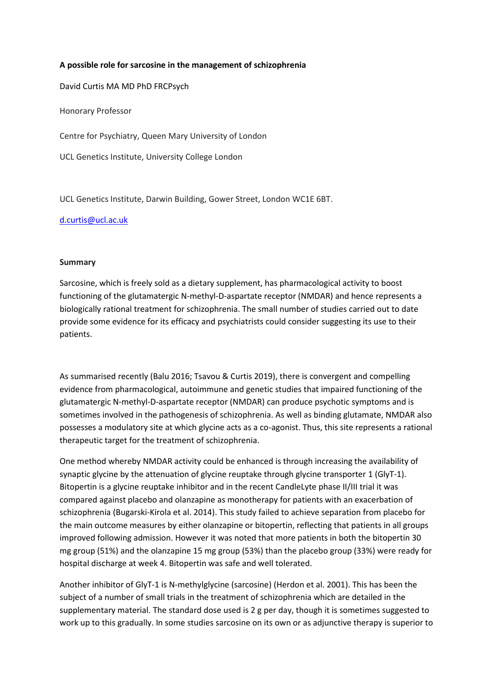## **A possible role for sarcosine in the management of schizophrenia**

David Curtis MA MD PhD FRCPsych

Honorary Professor

Centre for Psychiatry, Queen Mary University of London

UCL Genetics Institute, University College London

UCL Genetics Institute, Darwin Building, Gower Street, London WC1E 6BT.

#### [d.curtis@ucl.ac.uk](mailto:d.curtis@ucl.ac.uk)

#### **Summary**

Sarcosine, which is freely sold as a dietary supplement, has pharmacological activity to boost functioning of the glutamatergic N-methyl-D-aspartate receptor (NMDAR) and hence represents a biologically rational treatment for schizophrenia. The small number of studies carried out to date provide some evidence for its efficacy and psychiatrists could consider suggesting its use to their patients.

As summarised recently (Balu 2016; Tsavou & Curtis 2019), there is convergent and compelling evidence from pharmacological, autoimmune and genetic studies that impaired functioning of the glutamatergic N-methyl-D-aspartate receptor (NMDAR) can produce psychotic symptoms and is sometimes involved in the pathogenesis of schizophrenia. As well as binding glutamate, NMDAR also possesses a modulatory site at which glycine acts as a co-agonist. Thus, this site represents a rational therapeutic target for the treatment of schizophrenia.

One method whereby NMDAR activity could be enhanced is through increasing the availability of synaptic glycine by the attenuation of glycine reuptake through glycine transporter 1 (GlyT-1). Bitopertin is a glycine reuptake inhibitor and in the recent CandleLyte phase II/III trial it was compared against placebo and olanzapine as monotherapy for patients with an exacerbation of schizophrenia (Bugarski-Kirola et al. 2014). This study failed to achieve separation from placebo for the main outcome measures by either olanzapine or bitopertin, reflecting that patients in all groups improved following admission. However it was noted that more patients in both the bitopertin 30 mg group (51%) and the olanzapine 15 mg group (53%) than the placebo group (33%) were ready for hospital discharge at week 4. Bitopertin was safe and well tolerated.

Another inhibitor of GlyT-1 is N-methylglycine (sarcosine) (Herdon et al. 2001). This has been the subject of a number of small trials in the treatment of schizophrenia which are detailed in the supplementary material. The standard dose used is 2 g per day, though it is sometimes suggested to work up to this gradually. In some studies sarcosine on its own or as adjunctive therapy is superior to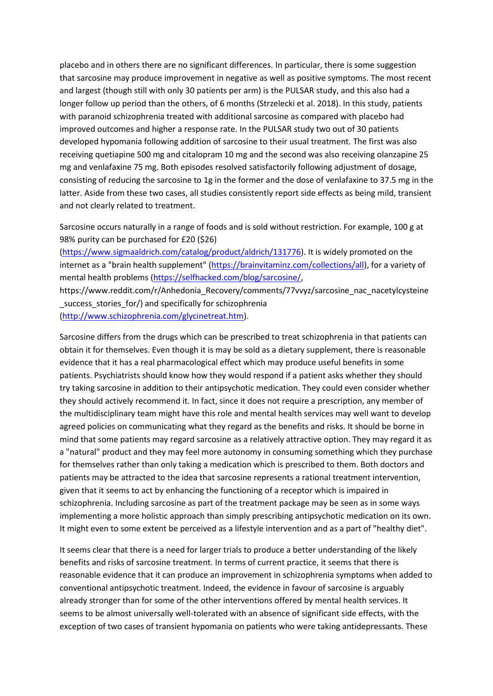placebo and in others there are no significant differences. In particular, there is some suggestion that sarcosine may produce improvement in negative as well as positive symptoms. The most recent and largest (though still with only 30 patients per arm) is the PULSAR study, and this also had a longer follow up period than the others, of 6 months (Strzelecki et al. 2018). In this study, patients with paranoid schizophrenia treated with additional sarcosine as compared with placebo had improved outcomes and higher a response rate. In the PULSAR study two out of 30 patients developed hypomania following addition of sarcosine to their usual treatment. The first was also receiving quetiapine 500 mg and citalopram 10 mg and the second was also receiving olanzapine 25 mg and venlafaxine 75 mg. Both episodes resolved satisfactorily following adjustment of dosage, consisting of reducing the sarcosine to 1g in the former and the dose of venlafaxine to 37.5 mg in the latter. Aside from these two cases, all studies consistently report side effects as being mild, transient and not clearly related to treatment.

Sarcosine occurs naturally in a range of foods and is sold without restriction. For example, 100 g at 98% purity can be purchased for £20 (\$26)

[\(https://www.sigmaaldrich.com/catalog/product/aldrich/131776\)](https://www.sigmaaldrich.com/catalog/product/aldrich/131776). It is widely promoted on the internet as a "brain health supplement" [\(https://brainvitaminz.com/collections/all\)](https://brainvitaminz.com/collections/all), for a variety of mental health problems [\(https://selfhacked.com/blog/sarcosine/,](https://selfhacked.com/blog/sarcosine/)

https://www.reddit.com/r/Anhedonia\_Recovery/comments/77vvyz/sarcosine\_nac\_nacetylcysteine success stories for/) and specifically for schizophrenia

[\(http://www.schizophrenia.com/glycinetreat.htm\)](http://www.schizophrenia.com/glycinetreat.htm).

Sarcosine differs from the drugs which can be prescribed to treat schizophrenia in that patients can obtain it for themselves. Even though it is may be sold as a dietary supplement, there is reasonable evidence that it has a real pharmacological effect which may produce useful benefits in some patients. Psychiatrists should know how they would respond if a patient asks whether they should try taking sarcosine in addition to their antipsychotic medication. They could even consider whether they should actively recommend it. In fact, since it does not require a prescription, any member of the multidisciplinary team might have this role and mental health services may well want to develop agreed policies on communicating what they regard as the benefits and risks. It should be borne in mind that some patients may regard sarcosine as a relatively attractive option. They may regard it as a "natural" product and they may feel more autonomy in consuming something which they purchase for themselves rather than only taking a medication which is prescribed to them. Both doctors and patients may be attracted to the idea that sarcosine represents a rational treatment intervention, given that it seems to act by enhancing the functioning of a receptor which is impaired in schizophrenia. Including sarcosine as part of the treatment package may be seen as in some ways implementing a more holistic approach than simply prescribing antipsychotic medication on its own. It might even to some extent be perceived as a lifestyle intervention and as a part of "healthy diet".

It seems clear that there is a need for larger trials to produce a better understanding of the likely benefits and risks of sarcosine treatment. In terms of current practice, it seems that there is reasonable evidence that it can produce an improvement in schizophrenia symptoms when added to conventional antipsychotic treatment. Indeed, the evidence in favour of sarcosine is arguably already stronger than for some of the other interventions offered by mental health services. It seems to be almost universally well-tolerated with an absence of significant side effects, with the exception of two cases of transient hypomania on patients who were taking antidepressants. These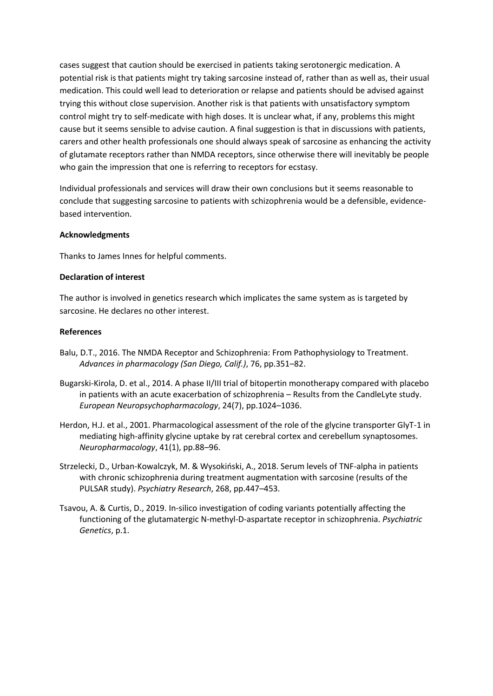cases suggest that caution should be exercised in patients taking serotonergic medication. A potential risk is that patients might try taking sarcosine instead of, rather than as well as, their usual medication. This could well lead to deterioration or relapse and patients should be advised against trying this without close supervision. Another risk is that patients with unsatisfactory symptom control might try to self-medicate with high doses. It is unclear what, if any, problems this might cause but it seems sensible to advise caution. A final suggestion is that in discussions with patients, carers and other health professionals one should always speak of sarcosine as enhancing the activity of glutamate receptors rather than NMDA receptors, since otherwise there will inevitably be people who gain the impression that one is referring to receptors for ecstasy.

Individual professionals and services will draw their own conclusions but it seems reasonable to conclude that suggesting sarcosine to patients with schizophrenia would be a defensible, evidencebased intervention.

## **Acknowledgments**

Thanks to James Innes for helpful comments.

#### **Declaration of interest**

The author is involved in genetics research which implicates the same system as is targeted by sarcosine. He declares no other interest.

#### **References**

- Balu, D.T., 2016. The NMDA Receptor and Schizophrenia: From Pathophysiology to Treatment. *Advances in pharmacology (San Diego, Calif.)*, 76, pp.351–82.
- Bugarski-Kirola, D. et al., 2014. A phase II/III trial of bitopertin monotherapy compared with placebo in patients with an acute exacerbation of schizophrenia – Results from the CandleLyte study. *European Neuropsychopharmacology*, 24(7), pp.1024–1036.
- Herdon, H.J. et al., 2001. Pharmacological assessment of the role of the glycine transporter GlyT-1 in mediating high-affinity glycine uptake by rat cerebral cortex and cerebellum synaptosomes. *Neuropharmacology*, 41(1), pp.88–96.
- Strzelecki, D., Urban-Kowalczyk, M. & Wysokiński, A., 2018. Serum levels of TNF-alpha in patients with chronic schizophrenia during treatment augmentation with sarcosine (results of the PULSAR study). *Psychiatry Research*, 268, pp.447–453.
- Tsavou, A. & Curtis, D., 2019. In-silico investigation of coding variants potentially affecting the functioning of the glutamatergic N-methyl-D-aspartate receptor in schizophrenia. *Psychiatric Genetics*, p.1.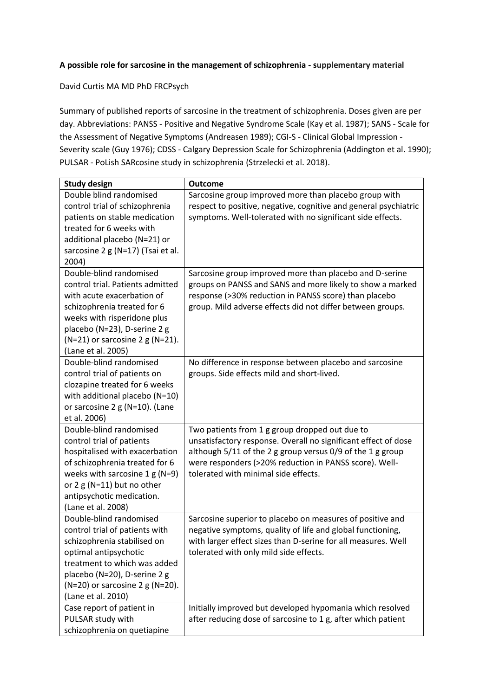## **A possible role for sarcosine in the management of schizophrenia - supplementary material**

David Curtis MA MD PhD FRCPsych

Summary of published reports of sarcosine in the treatment of schizophrenia. Doses given are per day. Abbreviations: PANSS - Positive and Negative Syndrome Scale (Kay et al. 1987); SANS - Scale for the Assessment of Negative Symptoms (Andreasen 1989); CGI-S - Clinical Global Impression - Severity scale (Guy 1976); CDSS - Calgary Depression Scale for Schizophrenia (Addington et al. 1990); PULSAR - PoLish SARcosine study in schizophrenia (Strzelecki et al. 2018).

| <b>Study design</b>                     | <b>Outcome</b>                                                   |
|-----------------------------------------|------------------------------------------------------------------|
| Double blind randomised                 | Sarcosine group improved more than placebo group with            |
| control trial of schizophrenia          | respect to positive, negative, cognitive and general psychiatric |
| patients on stable medication           | symptoms. Well-tolerated with no significant side effects.       |
| treated for 6 weeks with                |                                                                  |
| additional placebo (N=21) or            |                                                                  |
| sarcosine 2 g (N=17) (Tsai et al.       |                                                                  |
| 2004)                                   |                                                                  |
| Double-blind randomised                 | Sarcosine group improved more than placebo and D-serine          |
| control trial. Patients admitted        | groups on PANSS and SANS and more likely to show a marked        |
| with acute exacerbation of              | response (>30% reduction in PANSS score) than placebo            |
| schizophrenia treated for 6             | group. Mild adverse effects did not differ between groups.       |
| weeks with risperidone plus             |                                                                  |
| placebo (N=23), D-serine 2 g            |                                                                  |
| $(N=21)$ or sarcosine 2 g (N=21).       |                                                                  |
| (Lane et al. 2005)                      |                                                                  |
| Double-blind randomised                 | No difference in response between placebo and sarcosine          |
| control trial of patients on            | groups. Side effects mild and short-lived.                       |
| clozapine treated for 6 weeks           |                                                                  |
| with additional placebo (N=10)          |                                                                  |
| or sarcosine 2 g (N=10). (Lane          |                                                                  |
| et al. 2006)                            |                                                                  |
| Double-blind randomised                 | Two patients from 1 g group dropped out due to                   |
| control trial of patients               | unsatisfactory response. Overall no significant effect of dose   |
| hospitalised with exacerbation          | although 5/11 of the 2 g group versus 0/9 of the 1 g group       |
| of schizophrenia treated for 6          | were responders (>20% reduction in PANSS score). Well-           |
| weeks with sarcosine $1 g(N=9)$         | tolerated with minimal side effects.                             |
| or 2 g (N=11) but no other              |                                                                  |
| antipsychotic medication.               |                                                                  |
| (Lane et al. 2008)                      |                                                                  |
| Double-blind randomised                 | Sarcosine superior to placebo on measures of positive and        |
| control trial of patients with          | negative symptoms, quality of life and global functioning,       |
| schizophrenia stabilised on             | with larger effect sizes than D-serine for all measures. Well    |
| optimal antipsychotic                   | tolerated with only mild side effects.                           |
| treatment to which was added            |                                                                  |
| placebo (N=20), D-serine 2 g            |                                                                  |
| ( $N=20$ ) or sarcosine 2 g ( $N=20$ ). |                                                                  |
| (Lane et al. 2010)                      |                                                                  |
| Case report of patient in               | Initially improved but developed hypomania which resolved        |
| PULSAR study with                       | after reducing dose of sarcosine to 1 g, after which patient     |
| schizophrenia on quetiapine             |                                                                  |
|                                         |                                                                  |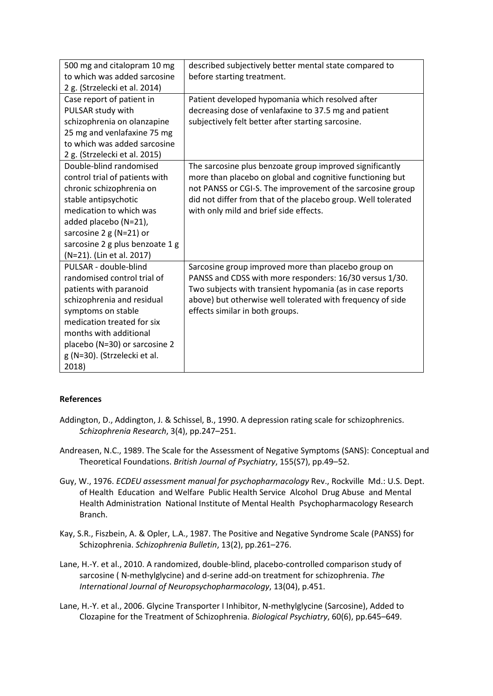| 500 mg and citalopram 10 mg     | described subjectively better mental state compared to        |
|---------------------------------|---------------------------------------------------------------|
| to which was added sarcosine    | before starting treatment.                                    |
| 2 g. (Strzelecki et al. 2014)   |                                                               |
| Case report of patient in       | Patient developed hypomania which resolved after              |
| PULSAR study with               | decreasing dose of venlafaxine to 37.5 mg and patient         |
| schizophrenia on olanzapine     | subjectively felt better after starting sarcosine.            |
| 25 mg and venlafaxine 75 mg     |                                                               |
| to which was added sarcosine    |                                                               |
| 2 g. (Strzelecki et al. 2015)   |                                                               |
| Double-blind randomised         | The sarcosine plus benzoate group improved significantly      |
| control trial of patients with  | more than placebo on global and cognitive functioning but     |
| chronic schizophrenia on        | not PANSS or CGI-S. The improvement of the sarcosine group    |
| stable antipsychotic            | did not differ from that of the placebo group. Well tolerated |
| medication to which was         | with only mild and brief side effects.                        |
| added placebo (N=21),           |                                                               |
| sarcosine $2 g (N=21)$ or       |                                                               |
| sarcosine 2 g plus benzoate 1 g |                                                               |
| (N=21). (Lin et al. 2017)       |                                                               |
| PULSAR - double-blind           | Sarcosine group improved more than placebo group on           |
| randomised control trial of     | PANSS and CDSS with more responders: 16/30 versus 1/30.       |
| patients with paranoid          | Two subjects with transient hypomania (as in case reports     |
| schizophrenia and residual      | above) but otherwise well tolerated with frequency of side    |
| symptoms on stable              | effects similar in both groups.                               |
| medication treated for six      |                                                               |
| months with additional          |                                                               |
| placebo (N=30) or sarcosine 2   |                                                               |
| g (N=30). (Strzelecki et al.    |                                                               |
| 2018)                           |                                                               |

# **References**

- Addington, D., Addington, J. & Schissel, B., 1990. A depression rating scale for schizophrenics. *Schizophrenia Research*, 3(4), pp.247–251.
- Andreasen, N.C., 1989. The Scale for the Assessment of Negative Symptoms (SANS): Conceptual and Theoretical Foundations. *British Journal of Psychiatry*, 155(S7), pp.49–52.
- Guy, W., 1976. *ECDEU assessment manual for psychopharmacology* Rev., Rockville Md.: U.S. Dept. of Health Education and Welfare Public Health Service Alcohol Drug Abuse and Mental Health Administration National Institute of Mental Health Psychopharmacology Research Branch.
- Kay, S.R., Fiszbein, A. & Opler, L.A., 1987. The Positive and Negative Syndrome Scale (PANSS) for Schizophrenia. *Schizophrenia Bulletin*, 13(2), pp.261–276.
- Lane, H.-Y. et al., 2010. A randomized, double-blind, placebo-controlled comparison study of sarcosine ( N-methylglycine) and d-serine add-on treatment for schizophrenia. *The International Journal of Neuropsychopharmacology*, 13(04), p.451.
- Lane, H.-Y. et al., 2006. Glycine Transporter I Inhibitor, N-methylglycine (Sarcosine), Added to Clozapine for the Treatment of Schizophrenia. *Biological Psychiatry*, 60(6), pp.645–649.